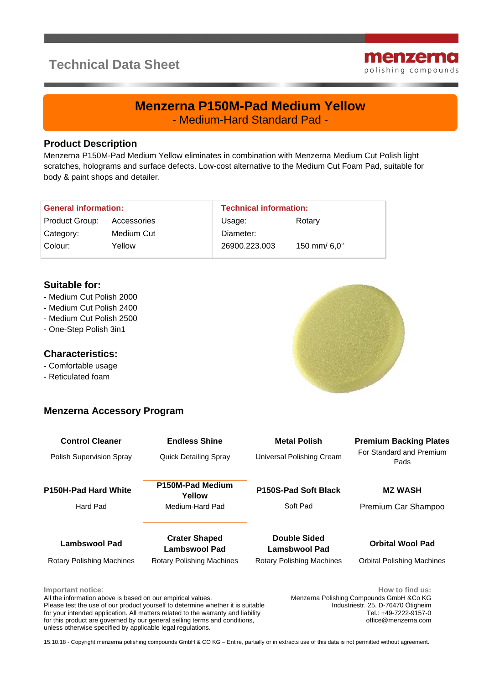# **Technical Data Sheet**



## **Menzerna P150M-Pad Medium Yellow** - Medium-Hard Standard Pad -

#### **Product Description**

Menzerna P150M-Pad Medium Yellow eliminates in combination with Menzerna Medium Cut Polish light scratches, holograms and surface defects. Low-cost alternative to the Medium Cut Foam Pad, suitable for body & paint shops and detailer.

| <b>General information:</b> |             | <b>Technical information:</b> |              |
|-----------------------------|-------------|-------------------------------|--------------|
| Product Group:              | Accessories | Usage:                        | Rotary       |
| Category:                   | Medium Cut  | Diameter:                     |              |
| Colour:                     | Yellow      | 26900.223.003                 | 150 mm/ 6,0" |

#### **Suitable for:**

- Medium Cut Polish 2000
- Medium Cut Polish 2400
- Medium Cut Polish 2500
- One-Step Polish 3in1

### **Characteristics:**

- Comfortable usage
- Reticulated foam

### **Menzerna Accessory Program**

| <b>Control Cleaner</b><br><b>Polish Supervision Spray</b> | <b>Endless Shine</b><br><b>Quick Detailing Spray</b>               | <b>Metal Polish</b><br>Universal Polishing Cream                         | <b>Premium Backing Plates</b><br>For Standard and Premium<br>Pads |
|-----------------------------------------------------------|--------------------------------------------------------------------|--------------------------------------------------------------------------|-------------------------------------------------------------------|
| <b>P150H-Pad Hard White</b><br>Hard Pad                   | P150M-Pad Medium<br>Yellow<br>Medium-Hard Pad                      | P150S-Pad Soft Black<br>Soft Pad                                         | <b>MZ WASH</b><br>Premium Car Shampoo                             |
| Lambswool Pad<br>Rotary Polishing Machines                | <b>Crater Shaped</b><br>Lambswool Pad<br>Rotary Polishing Machines | <b>Double Sided</b><br>Lamsbwool Pad<br><b>Rotary Polishing Machines</b> | <b>Orbital Wool Pad</b><br><b>Orbital Polishing Machines</b>      |
| Important notice:                                         |                                                                    |                                                                          | How to find us:                                                   |

All the information above is based on our empirical values. Please test the use of our product yourself to determine whether it is suitable for your intended application. All matters related to the warranty and liability for this product are governed by our general selling terms and conditions, unless otherwise specified by applicable legal regulations.

Menzerna Polishing Compounds GmbH &Co KG Industriestr. 25, D-76470 Ötigheim Tel.: +49-7222-9157-0 office@menzerna.com

15.10.18 - Copyright menzerna polishing compounds GmbH & CO KG – Entire, partially or in extracts use of this data is not permitted without agreement.